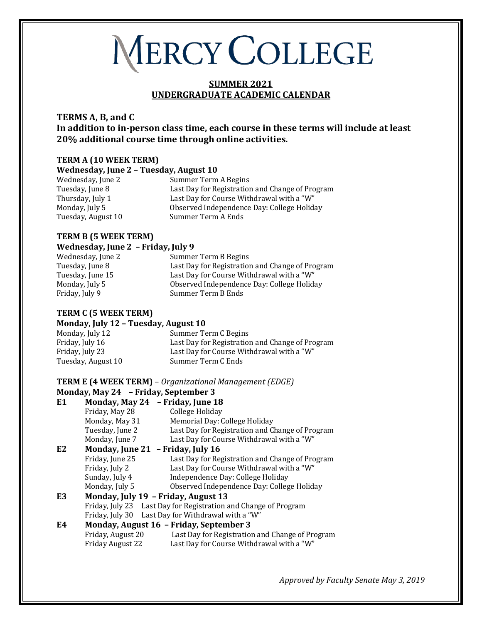# MERCY COLLEGE

## **SUMMER 2021 UNDERGRADUATE ACADEMIC CALENDAR**

## **TERMS A, B, and C In addition to in-person class time, each course in these terms will include at least 20% additional course time through online activities.**

## **TERM A (10 WEEK TERM) Wednesday, June 2 – Tuesday, August 10**

Tuesday, August 10

Wednesday, June 2 Summer Term A Begins<br>
Tuesday, June 8 Last Day for Registration Tuesday, June 8 Last Day for Registration and Change of Program<br>
Thursday, July 1 Last Day for Course Withdrawal with a "W" Thursday, July 1 Last Day for Course Withdrawal with a "W"<br>Monday, July 5 0bserved Independence Day: College Holida Observed Independence Day: College Holiday<br>Summer Term A Ends

#### **TERM B (5 WEEK TERM) Wednesday, June 2 – Friday, July 9**

Wednesday, June 2 Summer Term B Begins<br>Tuesday, June 8 Tuesday, June 8 Tuesday, June 8 **Last Day for Registration and Change of Program**<br>Tuesday. June 15 **Register Last Day for Course Withdrawal with a** "W" Tuesday, June 15 Last Day for Course Withdrawal with a "W"<br>Monday, July 5 College Holid Conday, Independence Day: College Holid Monday, July 5 Observed Independence Day: College Holiday Summer Term B Ends

# **TERM C (5 WEEK TERM)**

## **Monday, July 12 – Tuesday, August 10**

Monday, July 12 Summer Term C Begins<br>Friday, July 16 Last Day for Registration Friday, July 16 Last Day for Registration and Change of Program<br>Friday, July 23 Last Day for Course Withdrawal with a "W" Last Day for Course Withdrawal with a "W"<br>Summer Term C Ends Tuesday, August 10

### **TERM E (4 WEEK TERM)** – *Organizational Management (EDGE)* **Monday, May 24 – Friday, September 3**

| Monday, May 24                    | - Friday, June 18                                               |
|-----------------------------------|-----------------------------------------------------------------|
| Friday, May 28                    | College Holiday                                                 |
| Monday, May 31                    | Memorial Day: College Holiday                                   |
| Tuesday, June 2                   | Last Day for Registration and Change of Program                 |
| Monday, June 7                    | Last Day for Course Withdrawal with a "W"                       |
| Monday, June 21 - Friday, July 16 |                                                                 |
| Friday, June 25                   | Last Day for Registration and Change of Program                 |
| Friday, July 2                    | Last Day for Course Withdrawal with a "W"                       |
| Sunday, July 4                    | Independence Day: College Holiday                               |
| Monday, July 5                    | Observed Independence Day: College Holiday                      |
|                                   | Monday, July 19 - Friday, August 13                             |
|                                   | Friday, July 23 Last Day for Registration and Change of Program |
| Friday, July 30                   | Last Day for Withdrawal with a "W"                              |
|                                   | Monday, August 16 - Friday, September 3                         |
| Friday, August 20                 | Last Day for Registration and Change of Program                 |
| Friday August 22                  | Last Day for Course Withdrawal with a "W"                       |
|                                   |                                                                 |

*Approved by Faculty Senate May 3, 2019*